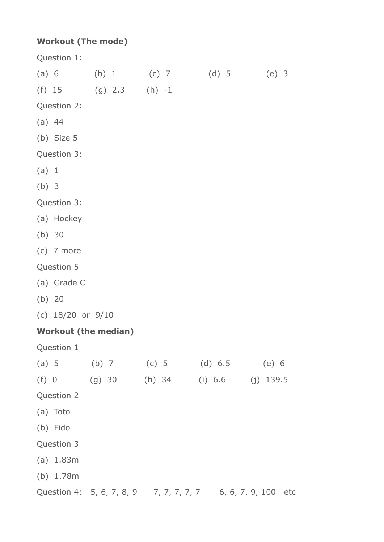## **Workout (The mode)**

Question 1: (a) 6 (b) 1 (c) 7 (d) 5 (e) 3 (f) 15 (g) 2.3 (h) -1 Question 2: (a) 44 (b) Size 5 Question 3: (a) 1 (b) 3 Question 3: (a) Hockey (b) 30 (c) 7 more Question 5 (a) Grade C (b) 20 (c) 18/20 or 9/10 **Workout (the median)** Question 1 (a) 5 (b) 7 (c) 5 (d) 6.5 (e) 6 (f) 0 (g) 30 (h) 34 (i) 6.6 (j) 139.5 Question 2 (a) Toto (b) Fido Question 3 (a) 1.83m (b) 1.78m Question 4: 5, 6, 7, 8, 9 7, 7, 7, 7, 7, 7 6, 6, 7, 9, 100 etc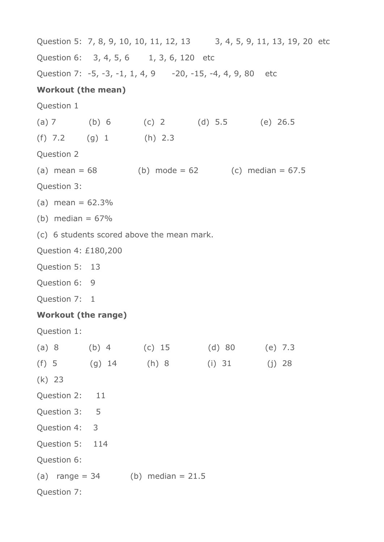Question 5: 7, 8, 9, 10, 10, 11, 12, 13 3, 4, 5, 9, 11, 13, 19, 20 etc Question 6: 3, 4, 5, 6 1, 3, 6, 120 etc Question 7: -5, -3, -1, 1, 4, 9 -20, -15, -4, 4, 9, 80 etc **Workout (the mean)** Question 1 (a) 7 (b) 6 (c) 2 (d) 5.5 (e) 26.5 (f) 7.2 (g) 1 (h) 2.3 Question 2 (a) mean =  $68$  (b) mode =  $62$  (c) median =  $67.5$ Question 3: (a) mean  $= 62.3\%$ (b) median  $= 67\%$ (c) 6 students scored above the mean mark. Question 4: £180,200 Question 5: 13 Question 6: 9 Question 7: 1 **Workout (the range)** Question 1: (a) 8 (b) 4 (c) 15 (d) 80 (e) 7.3 (f) 5 (g) 14 (h) 8 (i) 31 (j) 28 (k) 23 Question 2: 11 Question 3: 5 Question 4: 3 Question 5: 114 Question 6: (a) range =  $34$  (b) median =  $21.5$ Question 7: